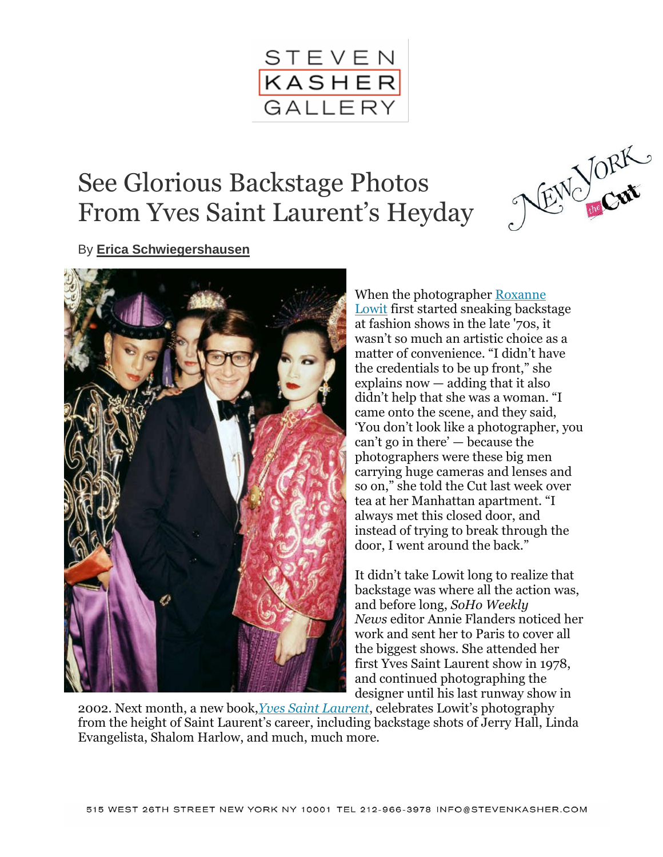

# See Glorious Backstage Photos From Yves Saint Laurent's Heyday



By **[Erica Schwiegershausen](http://nymag.com/author/Erica%20Schwiegershausen/)**



When the photographer [Roxanne](http://www.roxannelowit.com/)  [Lowit](http://www.roxannelowit.com/) first started sneaking backstage at fashion shows in the late '70s, it wasn't so much an artistic choice as a matter of convenience. "I didn't have the credentials to be up front," she explains now — adding that it also didn't help that she was a woman. "I came onto the scene, and they said, 'You don't look like a photographer, you can't go in there' — because the photographers were these big men carrying huge cameras and lenses and so on," she told the Cut last week over tea at her Manhattan apartment. "I always met this closed door, and instead of trying to break through the door, I went around the back."

It didn't take Lowit long to realize that backstage was where all the action was, and before long, *SoHo Weekly News* editor Annie Flanders noticed her work and sent her to Paris to cover all the biggest shows. She attended her first Yves Saint Laurent show in 1978, and continued photographing the designer until his last runway show in

2002. Next month, a new book,*[Yves Saint Laurent](http://www.amazon.com/Yves-Saint-Laurent-Roxanne-Lowit/dp/0500517606)*, celebrates Lowit's photography from the height of Saint Laurent's career, including backstage shots of Jerry Hall, Linda Evangelista, Shalom Harlow, and much, much more.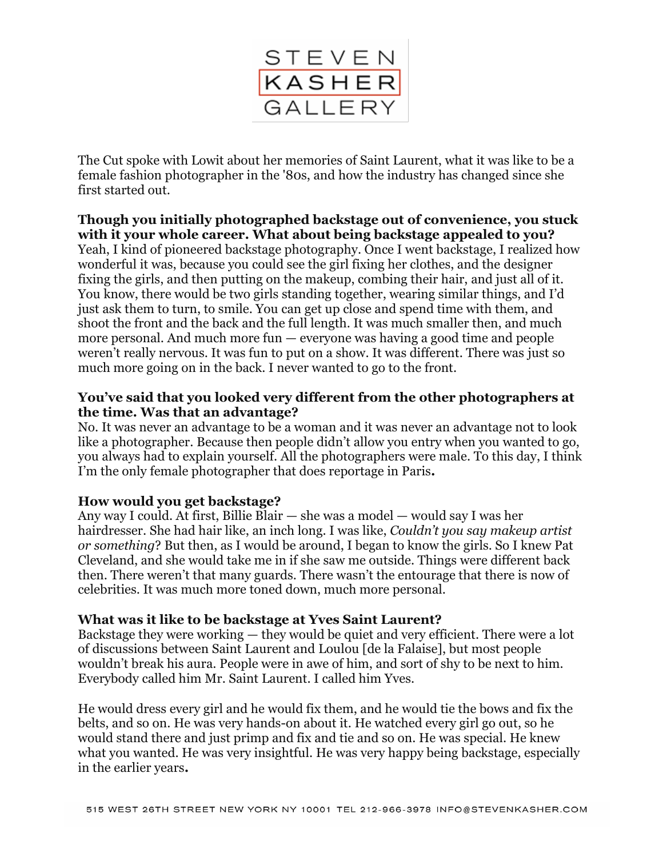

The Cut spoke with Lowit about her memories of Saint Laurent, what it was like to be a female fashion photographer in the '80s, and how the industry has changed since she first started out.

## **Though you initially photographed backstage out of convenience, you stuck with it your whole career. What about being backstage appealed to you?**

Yeah, I kind of pioneered backstage photography. Once I went backstage, I realized how wonderful it was, because you could see the girl fixing her clothes, and the designer fixing the girls, and then putting on the makeup, combing their hair, and just all of it. You know, there would be two girls standing together, wearing similar things, and I'd just ask them to turn, to smile. You can get up close and spend time with them, and shoot the front and the back and the full length. It was much smaller then, and much more personal. And much more fun — everyone was having a good time and people weren't really nervous. It was fun to put on a show. It was different. There was just so much more going on in the back. I never wanted to go to the front.

## **You've said that you looked very different from the other photographers at the time. Was that an advantage?**

No. It was never an advantage to be a woman and it was never an advantage not to look like a photographer. Because then people didn't allow you entry when you wanted to go, you always had to explain yourself. All the photographers were male. To this day, I think I'm the only female photographer that does reportage in Paris**.**

## **How would you get backstage?**

Any way I could. At first, Billie Blair — she was a model — would say I was her hairdresser. She had hair like, an inch long. I was like, *Couldn't you say makeup artist or something*? But then, as I would be around, I began to know the girls. So I knew Pat Cleveland, and she would take me in if she saw me outside. Things were different back then. There weren't that many guards. There wasn't the entourage that there is now of celebrities. It was much more toned down, much more personal.

#### **What was it like to be backstage at Yves Saint Laurent?**

Backstage they were working — they would be quiet and very efficient. There were a lot of discussions between Saint Laurent and Loulou [de la Falaise], but most people wouldn't break his aura. People were in awe of him, and sort of shy to be next to him. Everybody called him Mr. Saint Laurent. I called him Yves.

He would dress every girl and he would fix them, and he would tie the bows and fix the belts, and so on. He was very hands-on about it. He watched every girl go out, so he would stand there and just primp and fix and tie and so on. He was special. He knew what you wanted. He was very insightful. He was very happy being backstage, especially in the earlier years**.**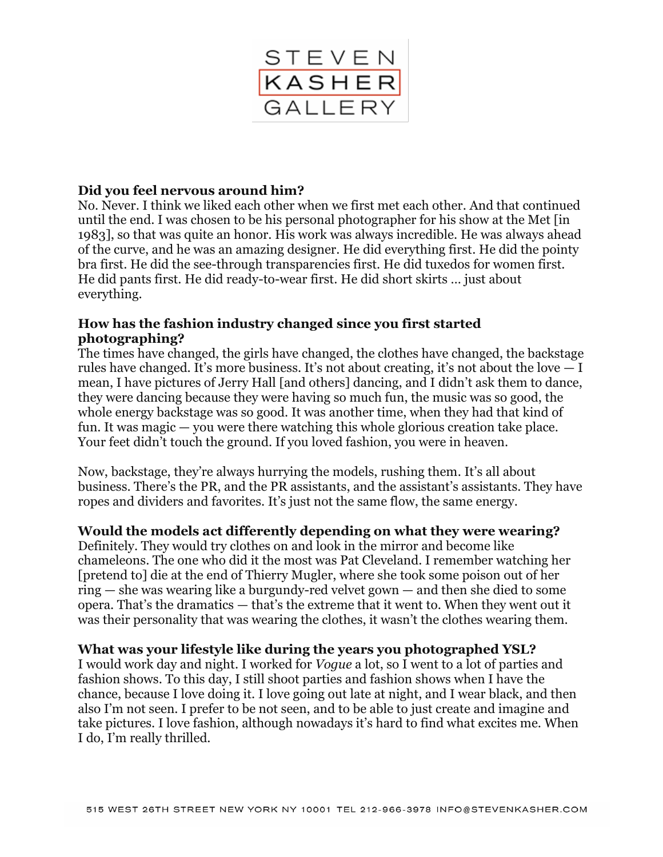

## **Did you feel nervous around him?**

No. Never. I think we liked each other when we first met each other. And that continued until the end. I was chosen to be his personal photographer for his show at the Met [in 1983], so that was quite an honor. His work was always incredible. He was always ahead of the curve, and he was an amazing designer. He did everything first. He did the pointy bra first. He did the see-through transparencies first. He did tuxedos for women first. He did pants first. He did ready-to-wear first. He did short skirts … just about everything.

#### **How has the fashion industry changed since you first started photographing?**

The times have changed, the girls have changed, the clothes have changed, the backstage rules have changed. It's more business. It's not about creating, it's not about the love  $-1$ mean, I have pictures of Jerry Hall [and others] dancing, and I didn't ask them to dance, they were dancing because they were having so much fun, the music was so good, the whole energy backstage was so good. It was another time, when they had that kind of fun. It was magic — you were there watching this whole glorious creation take place. Your feet didn't touch the ground. If you loved fashion, you were in heaven.

Now, backstage, they're always hurrying the models, rushing them. It's all about business. There's the PR, and the PR assistants, and the assistant's assistants. They have ropes and dividers and favorites. It's just not the same flow, the same energy.

#### **Would the models act differently depending on what they were wearing?**

Definitely. They would try clothes on and look in the mirror and become like chameleons. The one who did it the most was Pat Cleveland. I remember watching her [pretend to] die at the end of Thierry Mugler, where she took some poison out of her ring — she was wearing like a burgundy-red velvet gown — and then she died to some opera. That's the dramatics — that's the extreme that it went to. When they went out it was their personality that was wearing the clothes, it wasn't the clothes wearing them.

#### **What was your lifestyle like during the years you photographed YSL?**

I would work day and night. I worked for *Vogue* a lot, so I went to a lot of parties and fashion shows. To this day, I still shoot parties and fashion shows when I have the chance, because I love doing it. I love going out late at night, and I wear black, and then also I'm not seen. I prefer to be not seen, and to be able to just create and imagine and take pictures. I love fashion, although nowadays it's hard to find what excites me. When I do, I'm really thrilled.